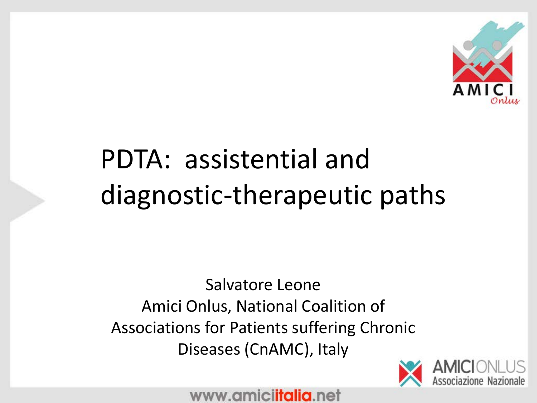

## PDTA: assistential and diagnostic-therapeutic paths

Salvatore Leone Amici Onlus, National Coalition of Associations for Patients suffering Chronic Diseases (CnAMC), Italy

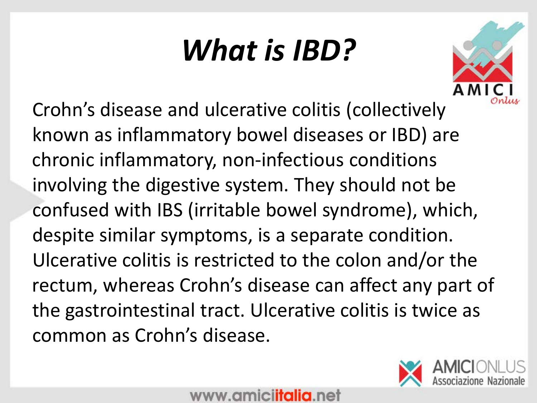# *What is IBD?*



Crohn's disease and ulcerative colitis (collectively known as inflammatory bowel diseases or IBD) are chronic inflammatory, non-infectious conditions involving the digestive system. They should not be confused with IBS (irritable bowel syndrome), which, despite similar symptoms, is a separate condition. Ulcerative colitis is restricted to the colon and/or the rectum, whereas Crohn's disease can affect any part of the gastrointestinal tract. Ulcerative colitis is twice as common as Crohn's disease.

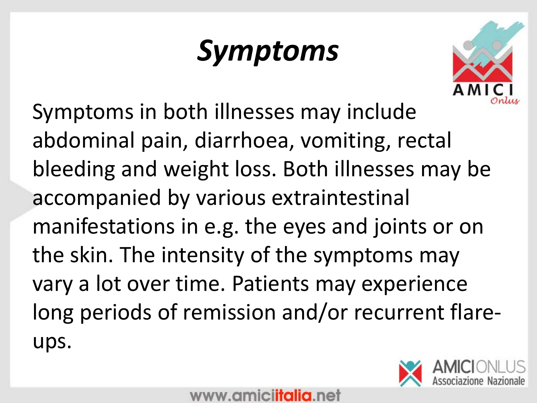# *Symptoms*



Symptoms in both illnesses may include abdominal pain, diarrhoea, vomiting, rectal bleeding and weight loss. Both illnesses may be accompanied by various extraintestinal manifestations in e.g. the eyes and joints or on the skin. The intensity of the symptoms may vary a lot over time. Patients may experience long periods of remission and/or recurrent flareups.

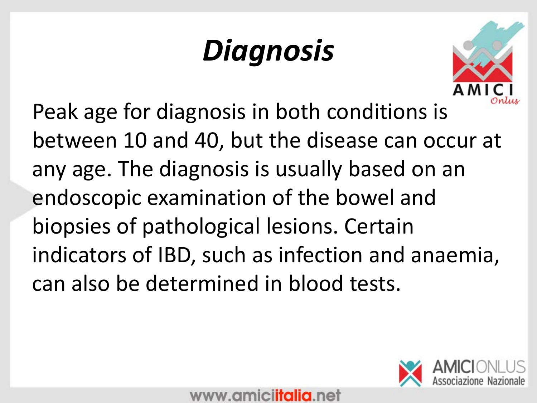# *Diagnosis*



Peak age for diagnosis in both conditions is between 10 and 40, but the disease can occur at any age. The diagnosis is usually based on an endoscopic examination of the bowel and biopsies of pathological lesions. Certain indicators of IBD, such as infection and anaemia, can also be determined in blood tests.

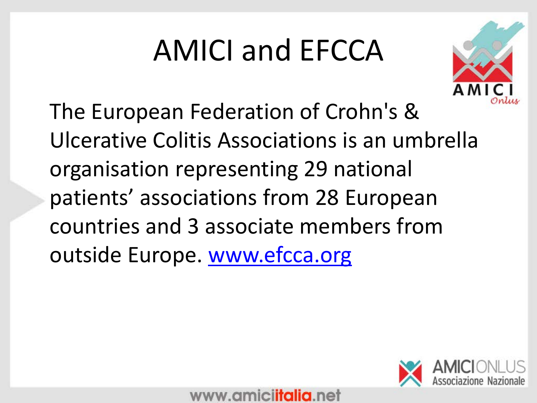# AMICI and EFCCA



The European Federation of Crohn's & Ulcerative Colitis Associations is an umbrella organisation representing 29 national patients' associations from 28 European countries and 3 associate members from outside Europe. [www.efcca.org](http://www.efcca.org/)

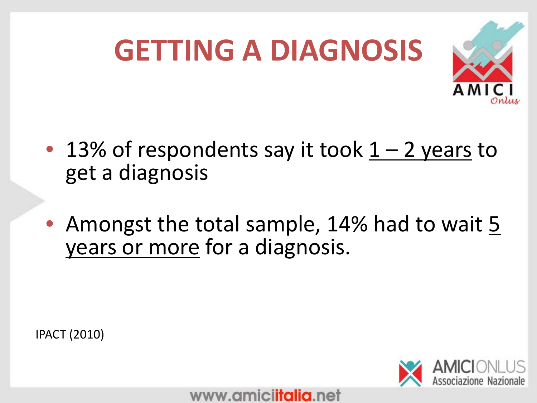

- 13% of respondents say it took  $1 2$  years to get a diagnosis
- Amongst the total sample, 14% had to wait 5 years or more for a diagnosis.

IPACT (2010)

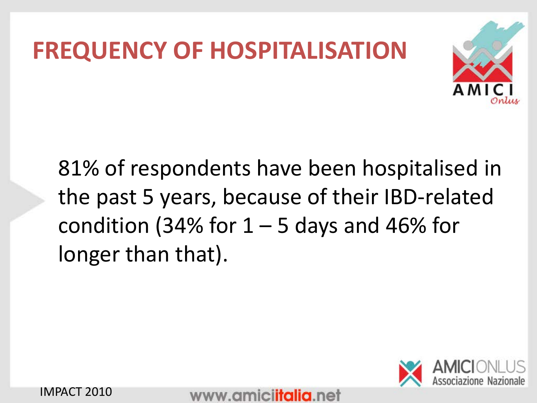# **FREQUENCY OF HOSPITALISATION**



81% of respondents have been hospitalised in the past 5 years, because of their IBD-related condition (34% for  $1 - 5$  days and 46% for longer than that).

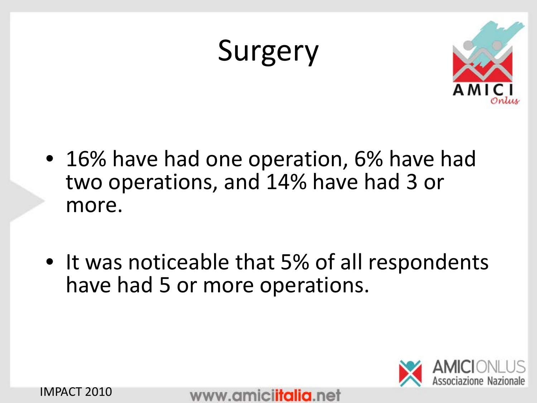## Surgery



- 16% have had one operation, 6% have had two operations, and 14% have had 3 or more.
- It was noticeable that 5% of all respondents have had 5 or more operations.

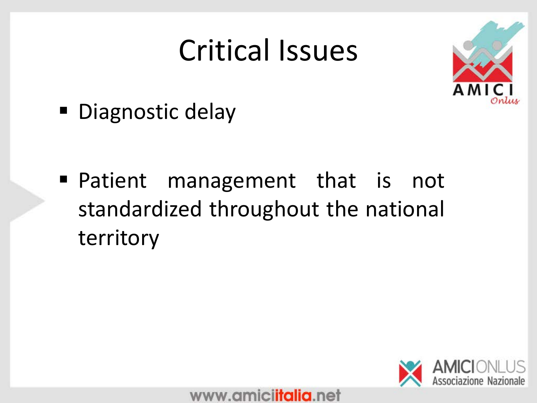## Critical Issues



■ Diagnostic delay

 Patient management that is not standardized throughout the national territory

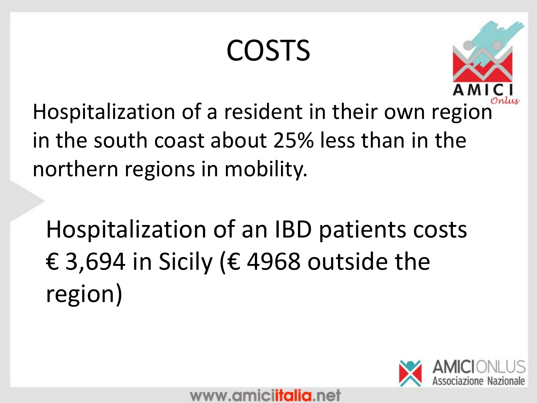## COSTS



Hospitalization of a resident in their own region in the south coast about 25% less than in the northern regions in mobility.

Hospitalization of an IBD patients costs € 3,694 in Sicily (€ 4968 outside the region)

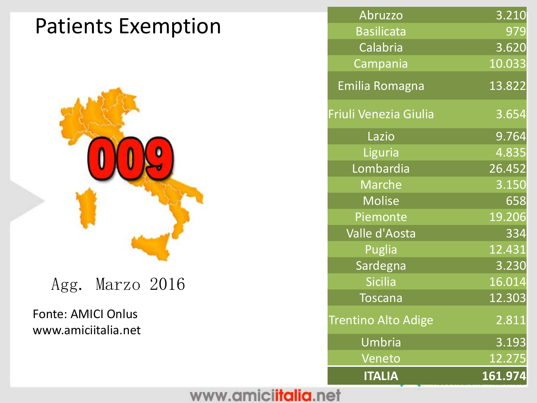### Patients Exemption



#### Agg. Marzo 2016

Fonte: AMICI Onlus www.amiciitalia.net

| 3.210   |
|---------|
| 979     |
| 3.620   |
| 10.033  |
| 13.822  |
| 3.654   |
| 9.764   |
| 4.835   |
| 26.452  |
| 3.150   |
| 658     |
| 19.206  |
| 334     |
| 12.431  |
| 3.230   |
| 16.014  |
| 12.303  |
| 2.811   |
| 3.193   |
| 12.275  |
| 161.974 |
|         |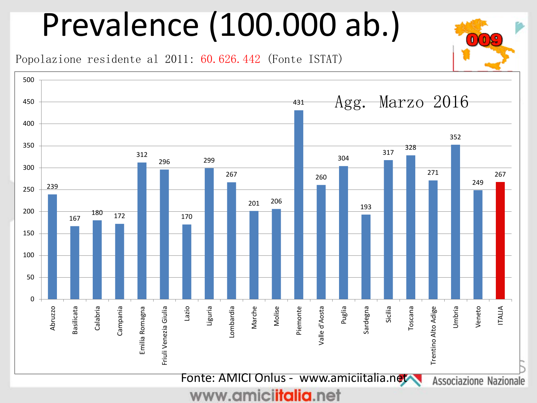# Prevalence (100.000 ab.)

Popolazione residente al 2011: 60.626.442 (Fonte ISTAT)



Associazione Nazionale www.amiciltalia.net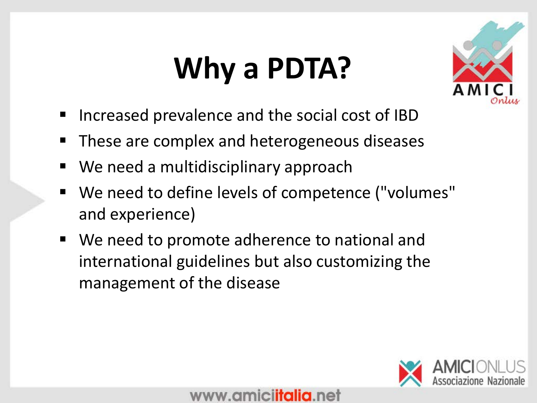# **Why a PDTA?**



- Increased prevalence and the social cost of IBD
- **These are complex and heterogeneous diseases**
- We need a multidisciplinary approach
- We need to define levels of competence ("volumes" and experience)
- We need to promote adherence to national and international guidelines but also customizing the management of the disease

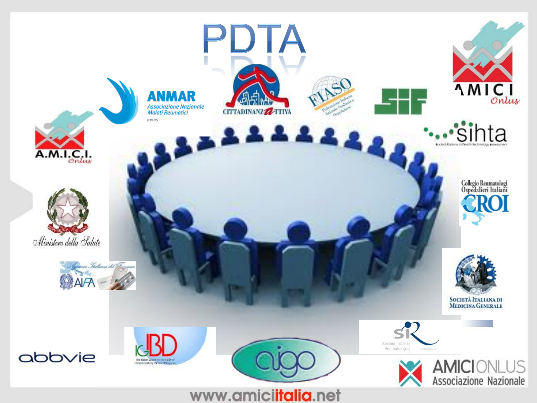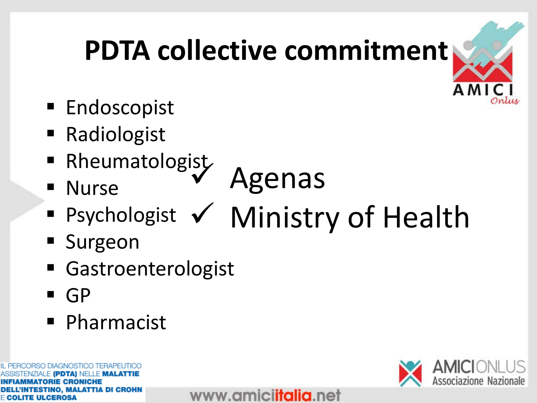

## **PDTA collective commitment**

Agenas

- **Endoscopist**
- Radiologist
- **Rheumatologisty**
- **Nurse**
- Psychologist V Ministry of Health
- **Surgeon**
- Gastroenterologist
- GP
- **Pharmacist**

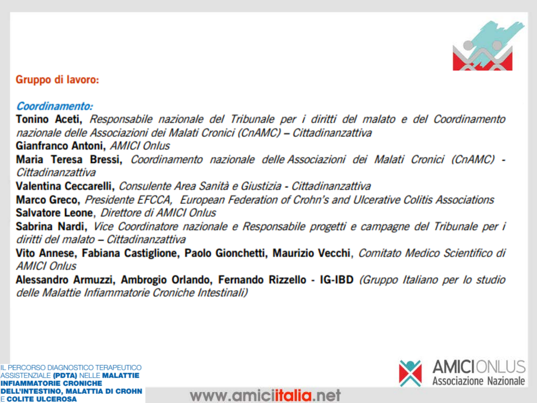

#### Gruppo di lavoro:

#### Coordinamento:

Tonino Aceti, Responsabile nazionale del Tribunale per i diritti del malato e del Coordinamento nazionale delle Associazioni dei Malati Cronici (CnAMC) - Cittadinanzattiva

Gianfranco Antoni, AMICI Onlus

Maria Teresa Bressi, Coordinamento nazionale delle Associazioni dei Malati Cronici (CnAMC) -Cittadinanzattiva

Valentina Ceccarelli, Consulente Area Sanità e Giustizia - Cittadinanzattiva

Marco Greco, Presidente EFCCA, European Federation of Crohn's and Ulcerative Colitis Associations Salvatore Leone, Direttore di AMICI Onlus

Sabrina Nardi, Vice Coordinatore nazionale e Responsabile progetti e campagne del Tribunale per i diritti del malato – Cittadinanzattiva

Vito Annese, Fabiana Castiglione, Paolo Gionchetti, Maurizio Vecchi, Comitato Medico Scientifico di **AMICI Onlus** 

Alessandro Armuzzi, Ambrogio Orlando, Fernando Rizzello - IG-IBD (Gruppo Italiano per lo studio delle Malattie Infiammatorie Croniche Intestinali)

www.amici**italia**.net

IL PERCORSO DIAGNOSTICO TERAPEUTICO ASSISTENZIALE (PDTA) NELLE MALATTIE **INFIAMMATORIE CRONICHE** DELL'INTESTINO, MALATTIA DI CROHN **E COLITE ULCEROSA** 

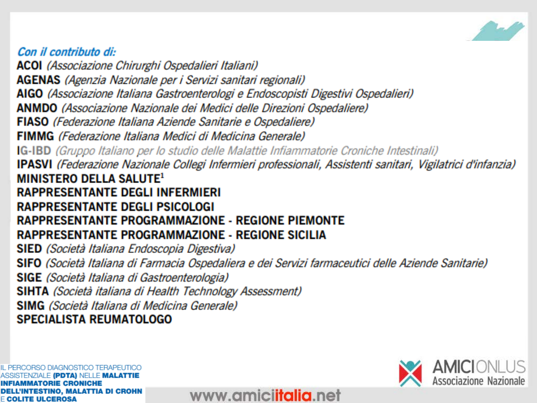

Con il contributo di: **ACOI** (Associazione Chirurghi Ospedalieri Italiani) **AGENAS** (Agenzia Nazionale per i Servizi sanitari regionali) AIGO (Associazione Italiana Gastroenterologi e Endoscopisti Digestivi Ospedalieri) ANMDO (Associazione Nazionale dei Medici delle Direzioni Ospedaliere) **FIASO** (Federazione Italiana Aziende Sanitarie e Ospedaliere) **FIMMG** (Federazione Italiana Medici di Medicina Generale) **IG-IBD** (Gruppo Italiano per lo studio delle Malattie Infiammatorie Croniche Intestinali) IPASVI (Federazione Nazionale Collegi Infermieri professionali, Assistenti sanitari, Vigilatrici d'infanzia) MINISTERO DELLA SALUTE<sup>1</sup> **RAPPRESENTANTE DEGLI INFERMIERI RAPPRESENTANTE DEGLI PSICOLOGI RAPPRESENTANTE PROGRAMMAZIONE - REGIONE PIEMONTE RAPPRESENTANTE PROGRAMMAZIONE - REGIONE SICILIA SIED** (Società Italiana Endoscopia Digestiva) SIFO (Società Italiana di Farmacia Ospedaliera e dei Servizi farmaceutici delle Aziende Sanitarie) **SIGE** (Società Italiana di Gastroenterologia) **SIHTA** (Società italiana di Health Technology Assessment) **SIMG** (Società Italiana di Medicina Generale) **SPECIALISTA REUMATOLOGO** 

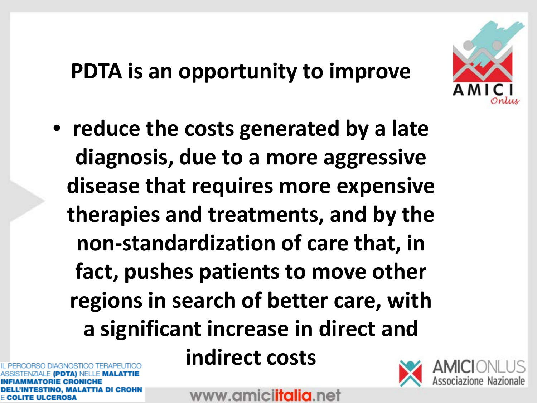### **PDTA is an opportunity to improve**



• **reduce the costs generated by a late diagnosis, due to a more aggressive disease that requires more expensive therapies and treatments, and by the non-standardization of care that, in fact, pushes patients to move other regions in search of better care, with a significant increase in direct and indirect costs**ENZIALE (PDTA) NELLE MALATTIE

www.amici**italia**.net

MALATTIA DI CROHN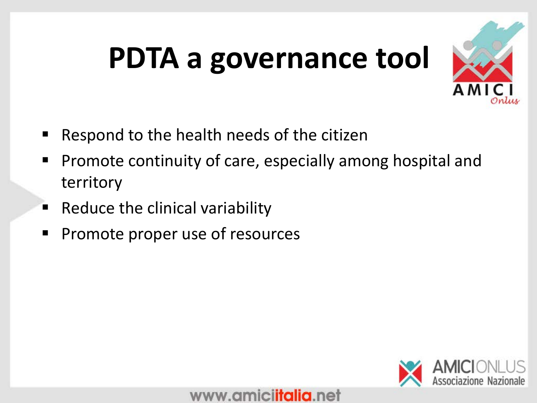# **PDTA a governance tool**



- Respond to the health needs of the citizen
- Promote continuity of care, especially among hospital and territory
- Reduce the clinical variability
- Promote proper use of resources

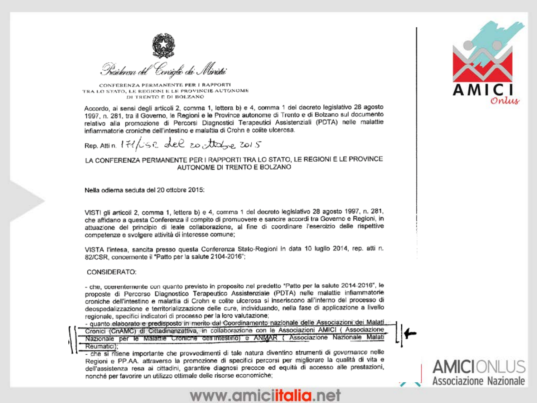Preidensa del "Consiglio dei Ministei

CONFERENZA PERMANENTE FER I RAPPORTI TRA LO STATO, LE REGIONI E LE PROVINCIE AUTONOME DI TRENTO E DI BOLZANO

Accordo, ai sensi degli articoli 2, comma 1, lettera b) e 4, comma 1 del decreto legislativo 28 agosto 1997, n. 281, tra il Governo, le Regioni e le Province autonome di Trento e di Bolzano sul documento relativo alla promozione di Percorsi Diagnostici Terapeutici Assistenziali (PDTA) nelle malattie infiammatorie croniche dell'intestino e malattia di Crohn e colite ulcerosa.

Rep. Attin 17/1/52 del 20 ttdge 2015

#### LA CONFERENZA PERMANENTE PER I RAPPORTI TRA LO STATO, LE REGIONI E LE PROVINCE AUTONOME DI TRENTO E BOLZANO

Nella odierna seduta del 20 ottobre 2015:

VISTI gli articoli 2, comma 1, lettera b) e 4, comma 1 del decreto legislativo 28 agosto 1997, n. 281, che affidano a questa Conferenza il compito di promuovere e sancire accordi tra Governo e Regioni, in attuazione del principio di leale collaborazione, al fine di coordinare l'esercizio delle rispettive competenze e svolgere attività di interesse comune:

VISTA l'intesa, sancita presso questa Conferenza Stato-Regioni in data 10 luglio 2014, rep. atti n. 82/CSR, concernente il "Patto per la salute 2104-2016";

#### CONSIDERATO:

- che, coerentemente con quanto previsto in proposito nel predetto "Patto per la salute 2014-2016", le proposte di Percorso Diagnostico Terapeutico Assistenziale (PDTA) nelle malattie infiammatorie croniche dell'intestino e malattia di Crohn e colite ulcerosa si inseriscono all'interno del processo di deospedalizzazione e territorializzazione delle cure, individuando, nella fase di applicazione a livello regionale, specifici indicatori di processo per la loro valutazione;

- quanto elaborato e predisposto in merito dal Coordinamento nazionale delle Associazioni dei Malati

Cronici (CnAMC) di Cittadinanzattiva, in collaborazione con le Associazioni AMICI ( Associazione Nazionale per le Malattie Croniche dell'Intestino) e ANMAR (Associazione Nazionale Malati Reumatici);

- che si ritiene importante che provvedimenti di tale natura diventino strumenti di governance nelle Regioni e PP.AA. attraverso la promozione di specifici percorsi per migliorare la qualità di vita e dell'assistenza resa ai cittadini, garantire diagnosi precoce ed equità di accesso alle prestazioni, nonché per favorire un utilizzo ottimale delle risorse economiche;



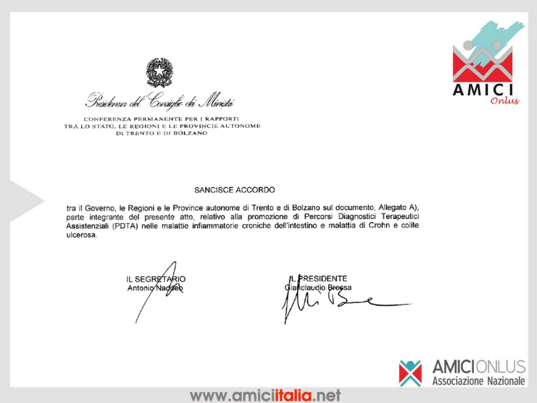



<u>Presidenza del "Consiglie dei Ministri</u>

CONFERENZA PERMANENTE PER I RAPPORTI TRA LO STATO, LE REGIONI E LE PROVINCIE AUTONOME DI TRENTO E DI BOLZANO

#### SANCISCE ACCORDO

tra il Governo, le Regioni e le Province autonome di Trento e di Bolzano sul documento, Allegato A), parte integrante del presente atto, relativo alla promozione di Percorsi Diagnostici Terapeutici Assistenziali (PDTA) nelle malattie infiammatorie croniche dell'intestino e malattia di Crohn e colite ulcerosa.

IL SEGRETARIO Antonic/Naddeb

RESIDENTE claudio Bressa

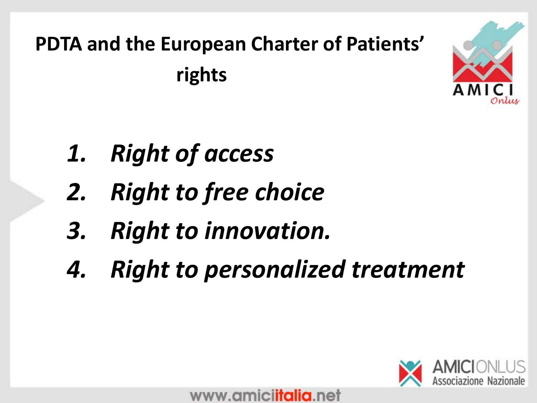### **PDTA and the European Charter of Patients' rights**



- *1. Right of access*
- *2. Right to free choice*
- *3. Right to innovation.*
- *4. Right to personalized treatment*